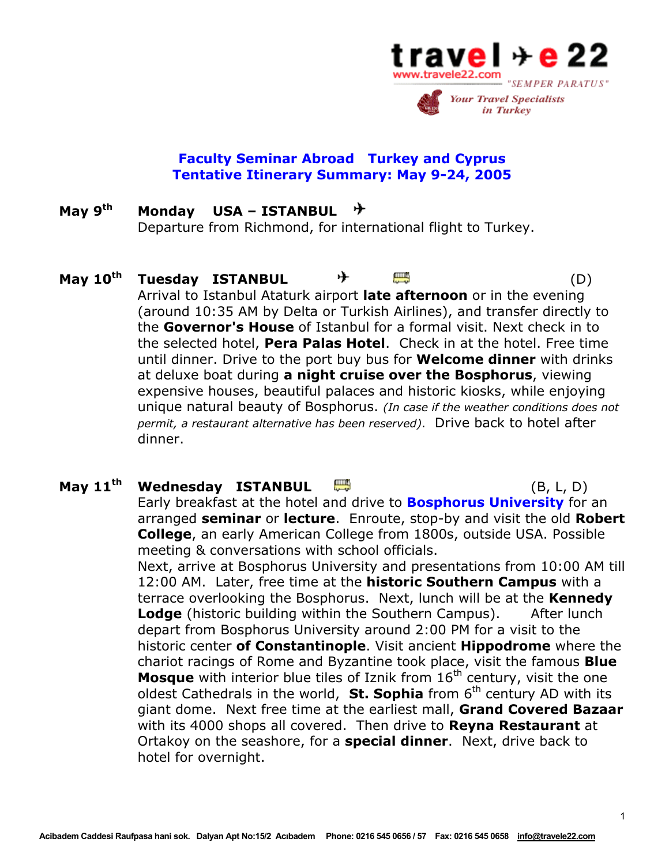

## **Faculty Seminar Abroad Turkey and Cyprus Tentative Itinerary Summary: May 9-24, 2005**

### **May 9th Monday USA – ISTANBUL**  丹 Departure from Richmond, for international flight to Turkey.

# **May 10<sup>th</sup> Tuesday ISTANBUL**  $\rightarrow$  **<del>卿</del>** (D) Arrival to Istanbul Ataturk airport **late afternoon** or in the evening (around 10:35 AM by Delta or Turkish Airlines), and transfer directly to the **Governor's House** of Istanbul for a formal visit. Next check in to the selected hotel, **Pera Palas Hotel**. Check in at the hotel. Free time until dinner. Drive to the port buy bus for **Welcome dinner** with drinks at deluxe boat during **a night cruise over the Bosphorus**, viewing expensive houses, beautiful palaces and historic kiosks, while enjoying unique natural beauty of Bosphorus. *(In case if the weather conditions does not permit, a restaurant alternative has been reserved)*. Drive back to hotel after dinner.

# **May 11th Wednesday ISTANBUL** (B, L, D) Early breakfast at the hotel and drive to **Bosphorus University** for an arranged **seminar** or **lecture**. Enroute, stop-by and visit the old **Robert College**, an early American College from 1800s, outside USA. Possible meeting & conversations with school officials. Next, arrive at Bosphorus University and presentations from 10:00 AM till 12:00 AM. Later, free time at the **historic Southern Campus** with a terrace overlooking the Bosphorus. Next, lunch will be at the **Kennedy Lodge** (historic building within the Southern Campus). After lunch depart from Bosphorus University around 2:00 PM for a visit to the historic center **of Constantinople**. Visit ancient **Hippodrome** where the chariot racings of Rome and Byzantine took place, visit the famous **Blue Mosque** with interior blue tiles of Iznik from 16<sup>th</sup> century, visit the one oldest Cathedrals in the world, **St. Sophia** from 6<sup>th</sup> century AD with its giant dome. Next free time at the earliest mall, **Grand Covered Bazaar** with its 4000 shops all covered. Then drive to **Reyna Restaurant** at Ortakoy on the seashore, for a **special dinner**. Next, drive back to hotel for overnight.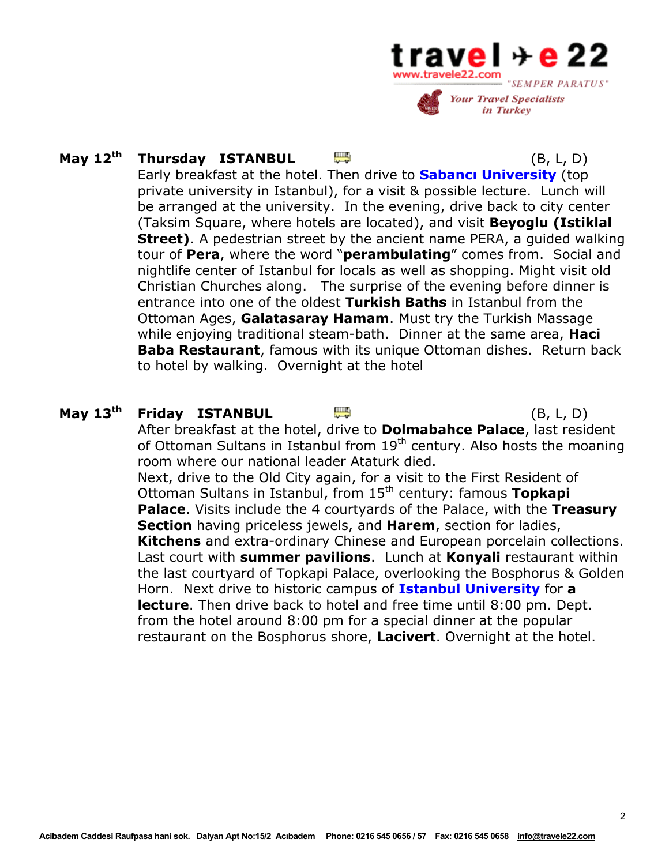

# **May 12th Thursday ISTANBUL** (B, L, D)

 Early breakfast at the hotel. Then drive to **Sabancı University** (top private university in Istanbul), for a visit & possible lecture. Lunch will be arranged at the university. In the evening, drive back to city center (Taksim Square, where hotels are located), and visit **Beyoglu (Istiklal Street)**. A pedestrian street by the ancient name PERA, a guided walking tour of **Pera**, where the word "**perambulating**" comes from. Social and nightlife center of Istanbul for locals as well as shopping. Might visit old Christian Churches along. The surprise of the evening before dinner is entrance into one of the oldest **Turkish Baths** in Istanbul from the Ottoman Ages, **Galatasaray Hamam**. Must try the Turkish Massage while enjoying traditional steam-bath. Dinner at the same area, **Haci Baba Restaurant**, famous with its unique Ottoman dishes. Return back to hotel by walking. Overnight at the hotel

# **May 13th Friday ISTANBUL** (B, L, D)

After breakfast at the hotel, drive to **Dolmabahce Palace**, last resident of Ottoman Sultans in Istanbul from 19<sup>th</sup> century. Also hosts the moaning room where our national leader Ataturk died. Next, drive to the Old City again, for a visit to the First Resident of Ottoman Sultans in Istanbul, from 15th century: famous **Topkapi Palace**. Visits include the 4 courtyards of the Palace, with the **Treasury Section** having priceless jewels, and **Harem**, section for ladies, **Kitchens** and extra-ordinary Chinese and European porcelain collections. Last court with **summer pavilions**. Lunch at **Konyali** restaurant within the last courtyard of Topkapi Palace, overlooking the Bosphorus & Golden Horn. Next drive to historic campus of **Istanbul University** for **a lecture**. Then drive back to hotel and free time until 8:00 pm. Dept. from the hotel around 8:00 pm for a special dinner at the popular restaurant on the Bosphorus shore, **Lacivert**. Overnight at the hotel.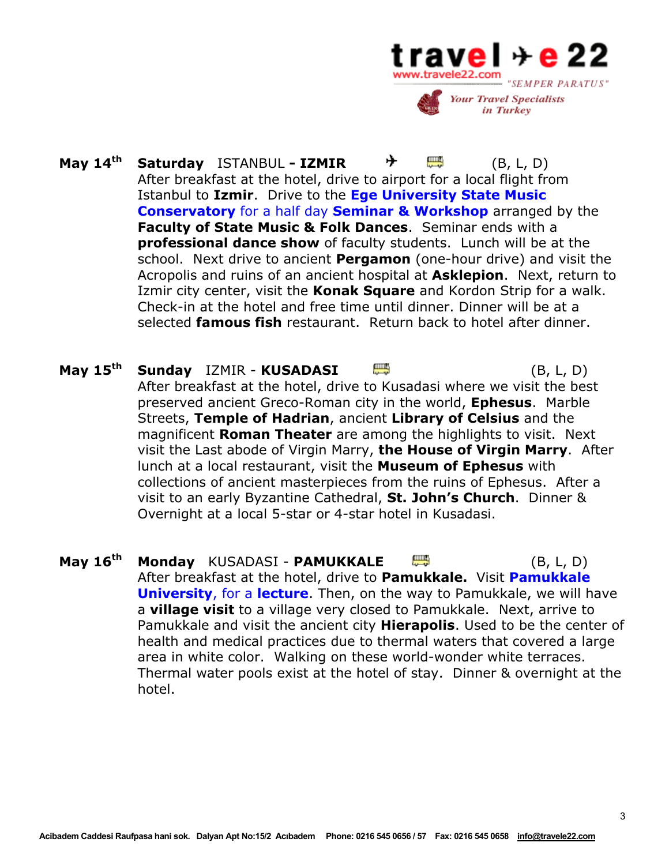

- **May 14<sup>th</sup> Saturday** ISTANBUL  **IZMIR**  $\rightarrow$   $\qquad \qquad \bullet$  (B. L. D) After breakfast at the hotel, drive to airport for a local flight from Istanbul to **Izmir**. Drive to the **Ege University State Music Conservatory** for a half day **Seminar & Workshop** arranged by the **Faculty of State Music & Folk Dances**. Seminar ends with a **professional dance show** of faculty students. Lunch will be at the school. Next drive to ancient **Pergamon** (one-hour drive) and visit the Acropolis and ruins of an ancient hospital at **Asklepion**. Next, return to Izmir city center, visit the **Konak Square** and Kordon Strip for a walk. Check-in at the hotel and free time until dinner. Dinner will be at a selected **famous fish** restaurant. Return back to hotel after dinner.
- **May 15th Sunday** IZMIR - **KUSADASI** (B, L, D) After breakfast at the hotel, drive to Kusadasi where we visit the best preserved ancient Greco-Roman city in the world, **Ephesus**. Marble Streets, **Temple of Hadrian**, ancient **Library of Celsius** and the magnificent **Roman Theater** are among the highlights to visit. Next visit the Last abode of Virgin Marry, **the House of Virgin Marry**. After lunch at a local restaurant, visit the **Museum of Ephesus** with collections of ancient masterpieces from the ruins of Ephesus. After a visit to an early Byzantine Cathedral, **St. John's Church**.Dinner & Overnight at a local 5-star or 4-star hotel in Kusadasi.
- **May 16<sup>th</sup> Monday** KUSADASI **PAMUKKALE**  $\mathbb{R}^n$  (B, L, D) After breakfast at the hotel, drive to **Pamukkale.** Visit **Pamukkale University**, for a **lecture**. Then, on the way to Pamukkale, we will have a **village visit** to a village very closed to Pamukkale. Next, arrive to Pamukkale and visit the ancient city **Hierapolis**. Used to be the center of health and medical practices due to thermal waters that covered a large area in white color. Walking on these world-wonder white terraces. Thermal water pools exist at the hotel of stay. Dinner & overnight at the hotel.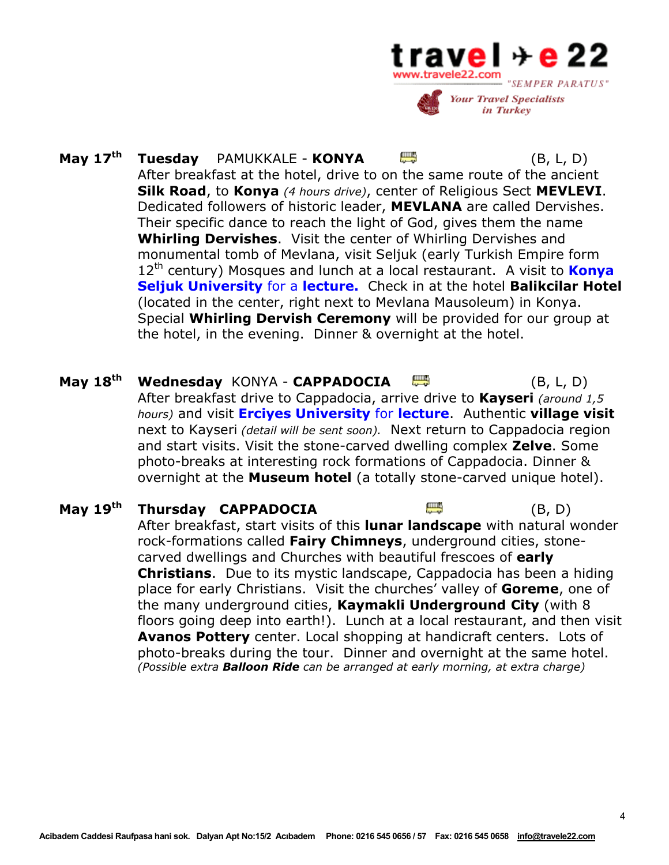

- **May 17th Tuesday** PAMUKKALE - **KONYA** (B, L, D) After breakfast at the hotel, drive to on the same route of the ancient **Silk Road**, to **Konya** *(4 hours drive)*, center of Religious Sect **MEVLEVI**. Dedicated followers of historic leader, **MEVLANA** are called Dervishes. Their specific dance to reach the light of God, gives them the name **Whirling Dervishes**. Visit the center of Whirling Dervishes and monumental tomb of Mevlana, visit Seljuk (early Turkish Empire form 12th century) Mosques and lunch at a local restaurant. A visit to **Konya Seljuk University** for a **lecture.** Check in at the hotel **Balikcilar Hotel**  (located in the center, right next to Mevlana Mausoleum) in Konya. Special **Whirling Dervish Ceremony** will be provided for our group at the hotel, in the evening. Dinner & overnight at the hotel.
- **May 18th Wednesday** KONYA **CAPPADOCIA** (B, L, D) After breakfast drive to Cappadocia, arrive drive to **Kayseri** *(around 1,5 hours)* and visit **Erciyes University** for **lecture**. Authentic **village visit** next to Kayseri *(detail will be sent soon).* Next return to Cappadocia region and start visits. Visit the stone-carved dwelling complex **Zelve**. Some photo-breaks at interesting rock formations of Cappadocia. Dinner & overnight at the **Museum hotel** (a totally stone-carved unique hotel).
- **May 19th Thursday CAPPADOCIA** (B, D) After breakfast, start visits of this **lunar landscape** with natural wonder rock-formations called **Fairy Chimneys**, underground cities, stonecarved dwellings and Churches with beautiful frescoes of **early Christians**. Due to its mystic landscape, Cappadocia has been a hiding place for early Christians. Visit the churches' valley of **Goreme**, one of the many underground cities, **Kaymakli Underground City** (with 8 floors going deep into earth!). Lunch at a local restaurant, and then visit **Avanos Pottery** center. Local shopping at handicraft centers. Lots of photo-breaks during the tour. Dinner and overnight at the same hotel. *(Possible extra Balloon Ride can be arranged at early morning, at extra charge)*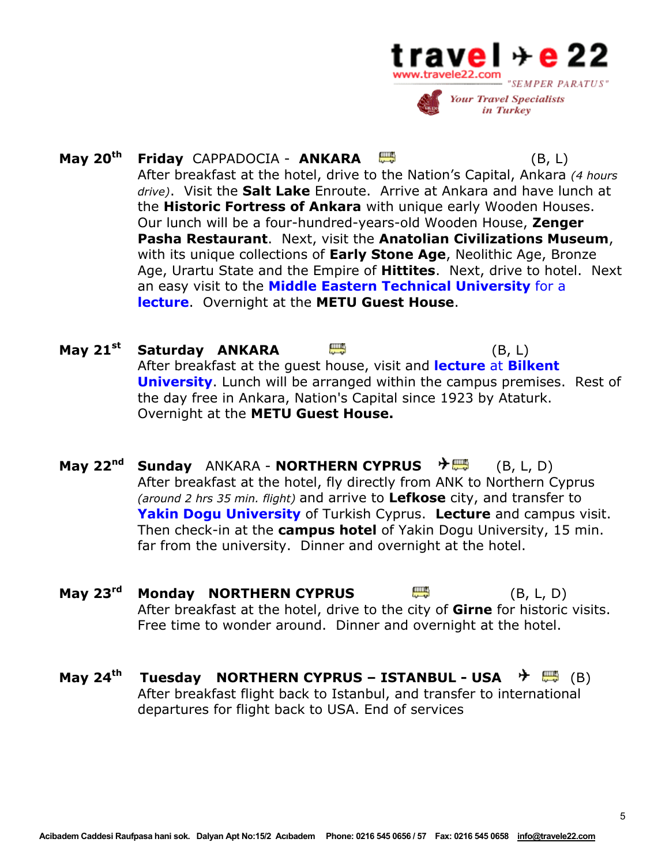

- **May 20th Friday** CAPPADOCIA - **ANKARA** (B, L) After breakfast at the hotel, drive to the Nation's Capital, Ankara *(4 hours drive)*. Visit the **Salt Lake** Enroute. Arrive at Ankara and have lunch at the **Historic Fortress of Ankara** with unique early Wooden Houses. Our lunch will be a four-hundred-years-old Wooden House, **Zenger Pasha Restaurant**. Next, visit the **Anatolian Civilizations Museum**, with its unique collections of **Early Stone Age**, Neolithic Age, Bronze Age, Urartu State and the Empire of **Hittites**. Next, drive to hotel. Next an easy visit to the **Middle Eastern Technical University** for a **lecture**. Overnight at the **METU Guest House**.
- **May 21st Saturday ANKARA** (B, L) After breakfast at the guest house, visit and **lecture** at **Bilkent University**. Lunch will be arranged within the campus premises. Rest of the day free in Ankara, Nation's Capital since 1923 by Ataturk. Overnight at the **METU Guest House.**
- **May 22<sup>nd</sup> Sunday** ANKARA **NORTHERN CYPRUS** <sup>→</sup> (B, L, D) After breakfast at the hotel, fly directly from ANK to Northern Cyprus *(around 2 hrs 35 min. flight)* and arrive to **Lefkose** city, and transfer to **Yakin Dogu University** of Turkish Cyprus. **Lecture** and campus visit. Then check-in at the **campus hotel** of Yakin Dogu University, 15 min. far from the university. Dinner and overnight at the hotel.
- **May 23<sup>rd</sup> Monday NORTHERN CYPRUS <b>And All All And All And All And All And All And All And All And All And All And A** After breakfast at the hotel, drive to the city of **Girne** for historic visits. Free time to wonder around. Dinner and overnight at the hotel.
- **May 24<sup>th</sup> Tuesday NORTHERN CYPRUS ISTANBUL USA <sup>→</sup> 豐 (B)** After breakfast flight back to Istanbul, and transfer to international departures for flight back to USA. End of services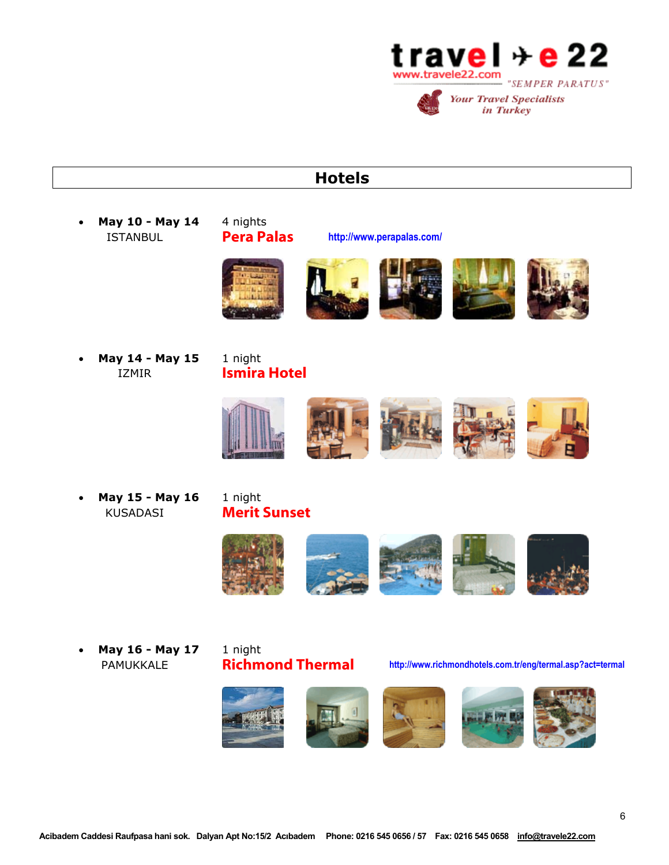

# **Hotels**

• **May 10 - May 14** 4 nights ISTANBUL Pera Palas **http://www.perapalas.com/**









• **May 14 - May 15** 1 night IZMIR **Ismira Hotel** 



• **May 15 - May 16** 1 night KUSADASI Merit Sunset



• **May 16 - May 17** 1 night

PAMUKKALE **Richmond Thermal** http://www.richmondhotels.com.tr/eng/termal.asp?act=termal

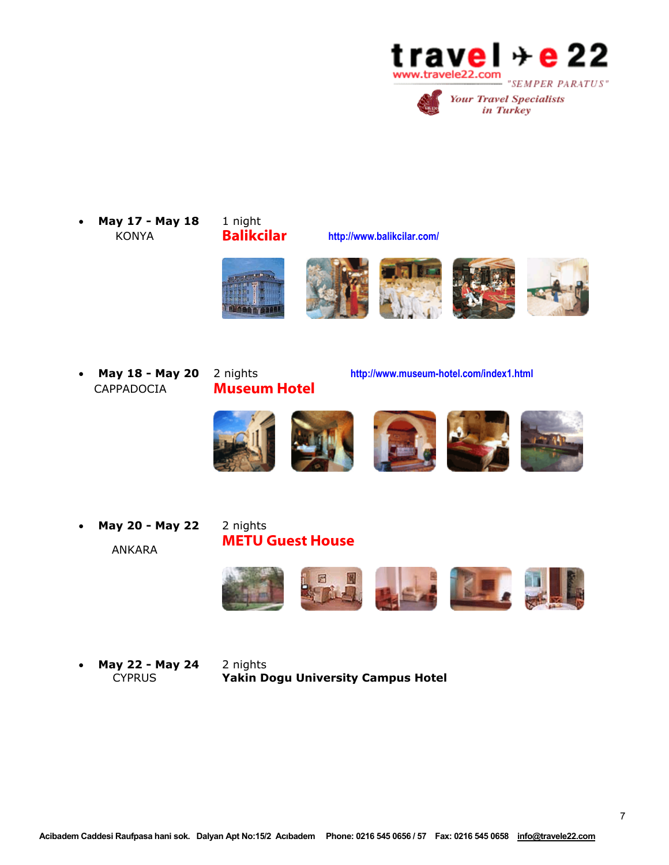



• **May 17 - May 18** 1 night KONYA Balikcilar **http://www.balikcilar.com/** 











CAPPADOCIA Museum Hotel

• **May 18 - May 20** 2 nights **http://www.museum-hotel.com/index1.html** 



• **May 20 - May 22** 2 nights ANKARA

# METU Guest House



• **May 22 - May 24** 2 nights **Yakin Dogu University Campus Hotel**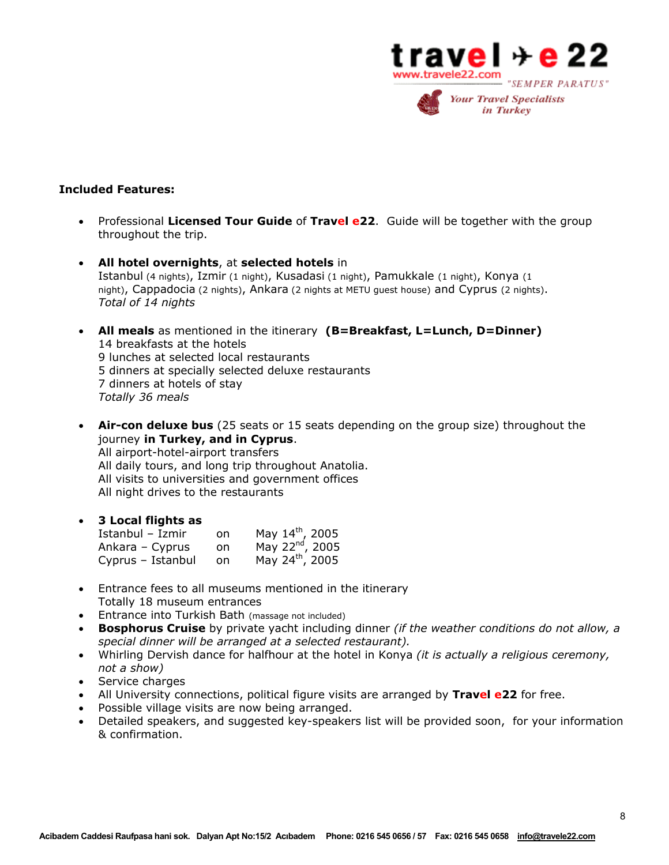

## **Included Features:**

- Professional **Licensed Tour Guide** of **Travel e22**. Guide will be together with the group throughout the trip.
- **All hotel overnights**, at **selected hotels** in Istanbul (4 nights), Izmir (1 night), Kusadasi (1 night), Pamukkale (1 night), Konya (1 night), Cappadocia (2 nights), Ankara (2 nights at METU guest house) and Cyprus (2 nights). *Total of 14 nights*
- **All meals** as mentioned in the itinerary **(B=Breakfast, L=Lunch, D=Dinner)**  14 breakfasts at the hotels 9 lunches at selected local restaurants 5 dinners at specially selected deluxe restaurants 7 dinners at hotels of stay *Totally 36 meals*
- **Air-con deluxe bus** (25 seats or 15 seats depending on the group size) throughout the journey **in Turkey, and in Cyprus**. All airport-hotel-airport transfers All daily tours, and long trip throughout Anatolia. All visits to universities and government offices

All night drives to the restaurants

## • **3 Local flights as**

| Istanbul - Izmir  | <sub>on</sub> | May 14th, 2005              |
|-------------------|---------------|-----------------------------|
| Ankara - Cyprus   | on.           | May 22 <sup>nd</sup> , 2005 |
| Cyprus - Istanbul | on.           | May 24 <sup>th</sup> , 2005 |

- Entrance fees to all museums mentioned in the itinerary Totally 18 museum entrances
- Entrance into Turkish Bath (massage not included)
- **Bosphorus Cruise** by private yacht including dinner *(if the weather conditions do not allow, a special dinner will be arranged at a selected restaurant).*
- Whirling Dervish dance for halfhour at the hotel in Konya *(it is actually a religious ceremony, not a show)*
- Service charges
- All University connections, political figure visits are arranged by **Travel e22** for free.
- Possible village visits are now being arranged.
- Detailed speakers, and suggested key-speakers list will be provided soon, for your information & confirmation.